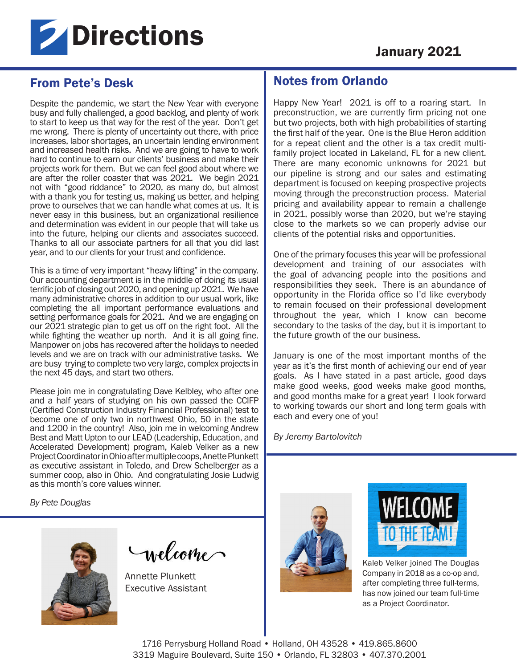

# From Pete's Desk

Despite the pandemic, we start the New Year with everyone busy and fully challenged, a good backlog, and plenty of work to start to keep us that way for the rest of the year. Don't get me wrong. There is plenty of uncertainty out there, with price increases, labor shortages, an uncertain lending environment and increased health risks. And we are going to have to work hard to continue to earn our clients' business and make their projects work for them. But we can feel good about where we are after the roller coaster that was 2021. We begin 2021 not with "good riddance" to 2020, as many do, but almost with a thank you for testing us, making us better, and helping prove to ourselves that we can handle what comes at us. It is never easy in this business, but an organizational resilience and determination was evident in our people that will take us into the future, helping our clients and associates succeed. Thanks to all our associate partners for all that you did last year, and to our clients for your trust and confidence.

This is a time of very important "heavy lifting" in the company. Our accounting department is in the middle of doing its usual terrific job of closing out 2020, and opening up 2021. We have many administrative chores in addition to our usual work, like completing the all important performance evaluations and setting performance goals for 2021. And we are engaging on our 2021 strategic plan to get us off on the right foot. All the while fighting the weather up north. And it is all going fine. Manpower on jobs has recovered after the holidays to needed levels and we are on track with our administrative tasks. We are busy trying to complete two very large, complex projects in the next 45 days, and start two others.

Please join me in congratulating Dave Kelbley, who after one and a half years of studying on his own passed the CCIFP (Certified Construction Industry Financial Professional) test to become one of only two in northwest Ohio, 50 in the state and 1200 in the country! Also, join me in welcoming Andrew Best and Matt Upton to our LEAD (Leadership, Education, and Accelerated Development) program, Kaleb Velker as a new Project Coordinator in Ohio after multiple coops, Anette Plunkett as executive assistant in Toledo, and Drew Schelberger as a summer coop, also in Ohio. And congratulating Josie Ludwig as this month's core values winner.

*By Pete Douglas* 



Incloome

Annette Plunkett Executive Assistant

## Notes from Orlando

Happy New Year! 2021 is off to a roaring start. In preconstruction, we are currently firm pricing not one but two projects, both with high probabilities of starting the first half of the year. One is the Blue Heron addition for a repeat client and the other is a tax credit multifamily project located in Lakeland, FL for a new client. There are many economic unknowns for 2021 but our pipeline is strong and our sales and estimating department is focused on keeping prospective projects moving through the preconstruction process. Material pricing and availability appear to remain a challenge in 2021, possibly worse than 2020, but we're staying close to the markets so we can properly advise our clients of the potential risks and opportunities.

One of the primary focuses this year will be professional development and training of our associates with the goal of advancing people into the positions and responsibilities they seek. There is an abundance of opportunity in the Florida office so I'd like everybody to remain focused on their professional development throughout the year, which I know can become secondary to the tasks of the day, but it is important to the future growth of the our business.

January is one of the most important months of the year as it's the first month of achieving our end of year goals. As I have stated in a past article, good days make good weeks, good weeks make good months, and good months make for a great year! I look forward to working towards our short and long term goals with each and every one of you!

*By Jeremy Bartolovitch*





Kaleb Velker joined The Douglas Company in 2018 as a co-op and, after completing three full-terms, has now joined our team full-time as a Project Coordinator.